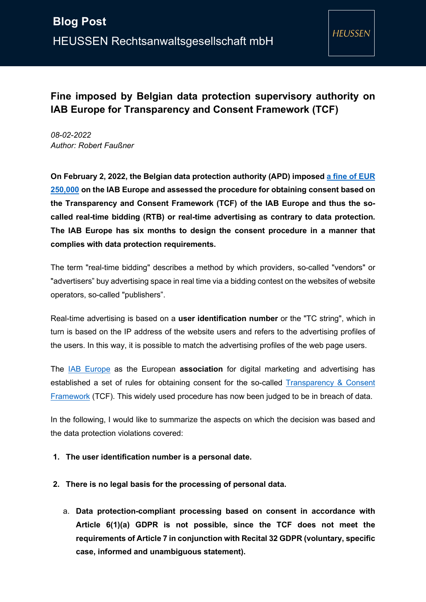**HEUSSEN** 

# **Fine imposed by Belgian data protection supervisory authority on IAB Europe for Transparency and Consent Framework (TCF)**

*08-02-2022 Author: Robert Faußner*

**On February 2, 2022, the Belgian data protection authority (APD) imposed [a fine of EUR](https://www.autoriteprotectiondonnees.be/publications/decision-quant-au-fond-n-21-2022-english.pdf)  [250,000](https://www.autoriteprotectiondonnees.be/publications/decision-quant-au-fond-n-21-2022-english.pdf) on the IAB Europe and assessed the procedure for obtaining consent based on the Transparency and Consent Framework (TCF) of the IAB Europe and thus the socalled real-time bidding (RTB) or real-time advertising as contrary to data protection. The IAB Europe has six months to design the consent procedure in a manner that complies with data protection requirements.** 

The term "real-time bidding" describes a method by which providers, so-called "vendors" or "advertisers" buy advertising space in real time via a bidding contest on the websites of website operators, so-called "publishers".

Real-time advertising is based on a **user identification number** or the "TC string", which in turn is based on the IP address of the website users and refers to the advertising profiles of the users. In this way, it is possible to match the advertising profiles of the web page users.

The [IAB Europe](https://iabeurope.eu/) as the European **association** for digital marketing and advertising has established a set of rules for obtaining consent for the so-called Transparency & Consent [Framework](https://iabeurope.eu/transparency-consent-framework/) (TCF). This widely used procedure has now been judged to be in breach of data.

In the following, I would like to summarize the aspects on which the decision was based and the data protection violations covered:

#### **1. The user identification number is a personal date.**

- **2. There is no legal basis for the processing of personal data.**
	- a. **Data protection-compliant processing based on consent in accordance with Article 6(1)(a) GDPR is not possible, since the TCF does not meet the requirements of Article 7 in conjunction with Recital 32 GDPR (voluntary, specific case, informed and unambiguous statement).**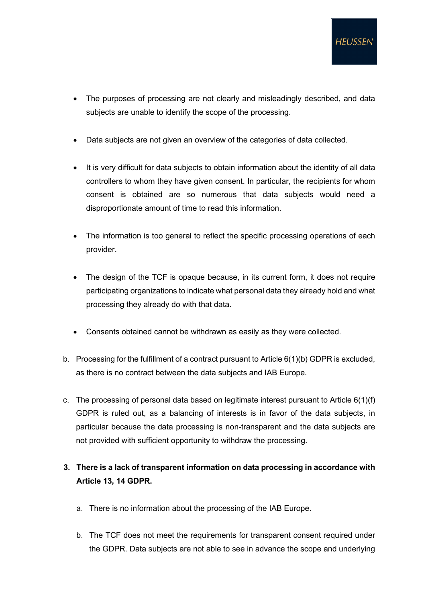- The purposes of processing are not clearly and misleadingly described, and data subjects are unable to identify the scope of the processing.
- Data subjects are not given an overview of the categories of data collected.
- It is very difficult for data subjects to obtain information about the identity of all data controllers to whom they have given consent. In particular, the recipients for whom consent is obtained are so numerous that data subjects would need a disproportionate amount of time to read this information.
- The information is too general to reflect the specific processing operations of each provider.
- The design of the TCF is opaque because, in its current form, it does not require participating organizations to indicate what personal data they already hold and what processing they already do with that data.
- Consents obtained cannot be withdrawn as easily as they were collected.
- b. Processing for the fulfillment of a contract pursuant to Article 6(1)(b) GDPR is excluded, as there is no contract between the data subjects and IAB Europe.
- c. The processing of personal data based on legitimate interest pursuant to Article 6(1)(f) GDPR is ruled out, as a balancing of interests is in favor of the data subjects, in particular because the data processing is non-transparent and the data subjects are not provided with sufficient opportunity to withdraw the processing.

## **3. There is a lack of transparent information on data processing in accordance with Article 13, 14 GDPR.**

- a. There is no information about the processing of the IAB Europe.
- b. The TCF does not meet the requirements for transparent consent required under the GDPR. Data subjects are not able to see in advance the scope and underlying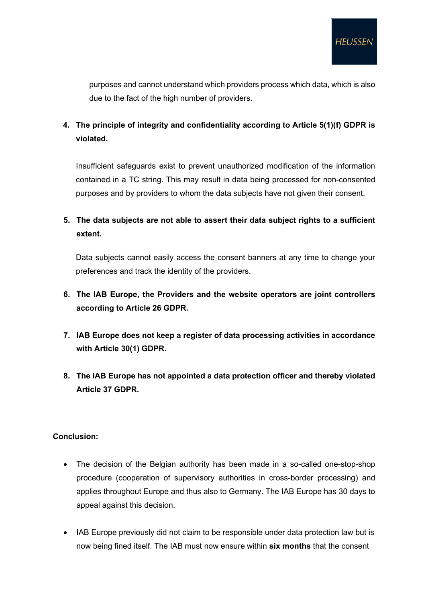purposes and cannot understand which providers process which data, which is also due to the fact of the high number of providers.

**4. The principle of integrity and confidentiality according to Article 5(1)(f) GDPR is violated.** 

Insufficient safeguards exist to prevent unauthorized modification of the information contained in a TC string. This may result in data being processed for non-consented purposes and by providers to whom the data subjects have not given their consent.

### **5. The data subjects are not able to assert their data subject rights to a sufficient extent.**

Data subjects cannot easily access the consent banners at any time to change your preferences and track the identity of the providers.

### **6. The IAB Europe, the Providers and the website operators are joint controllers according to Article 26 GDPR.**

- **7. IAB Europe does not keep a register of data processing activities in accordance with Article 30(1) GDPR.**
- **8. The IAB Europe has not appointed a data protection officer and thereby violated Article 37 GDPR.**

#### **Conclusion:**

- The decision of the Belgian authority has been made in a so-called one-stop-shop procedure (cooperation of supervisory authorities in cross-border processing) and applies throughout Europe and thus also to Germany. The IAB Europe has 30 days to appeal against this decision.
- IAB Europe previously did not claim to be responsible under data protection law but is now being fined itself. The IAB must now ensure within **six months** that the consent